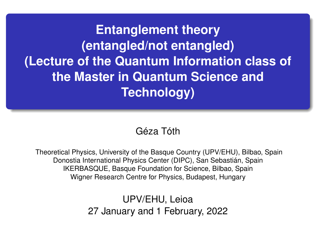**Entanglement theory (entangled/not entangled) (Lecture of the Quantum Information class of the Master in Quantum Science and Technology)**

### Géza Tóth

Theoretical Physics, University of the Basque Country (UPV/EHU), Bilbao, Spain Donostia International Physics Center (DIPC), San Sebastián, Spain IKERBASQUE, Basque Foundation for Science, Bilbao, Spain Wigner Research Centre for Physics, Budapest, Hungary

> UPV/EHU, Leioa 27 January and 1 February, 2022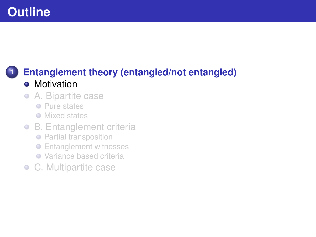# <span id="page-1-0"></span>**Outline**

### **1 [Entanglement theory \(entangled/not entangled\)](#page-1-0) •** [Motivation](#page-1-0)

- [A. Bipartite case](#page-3-0)  $\bullet$ 
	- **•** [Pure states](#page-4-0)
	- **O** [Mixed states](#page-5-0)
- [B. Entanglement criteria](#page-11-0)
	- **•** [Partial transposition](#page-13-0)
	- **•** [Entanglement witnesses](#page-18-0)
	- [Variance based criteria](#page-27-0)
- [C. Multipartite case](#page-32-0)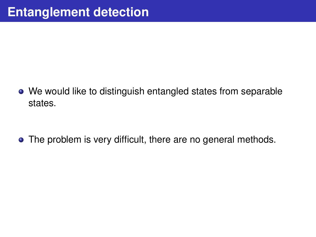We would like to distinguish entangled states from separable states.

• The problem is very difficult, there are no general methods.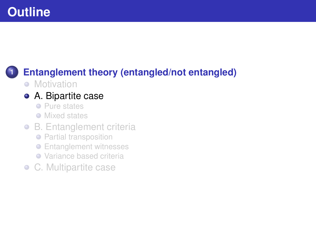# <span id="page-3-0"></span>**Outline**

# **1 [Entanglement theory \(entangled/not entangled\)](#page-1-0)**

• [Motivation](#page-1-0)

### [A. Bipartite case](#page-3-0)

- **•** [Pure states](#page-4-0)
- **[Mixed states](#page-5-0)**
- [B. Entanglement criteria](#page-11-0)
	- **•** [Partial transposition](#page-13-0)
	- **•** [Entanglement witnesses](#page-18-0)
	- [Variance based criteria](#page-27-0)
- [C. Multipartite case](#page-32-0)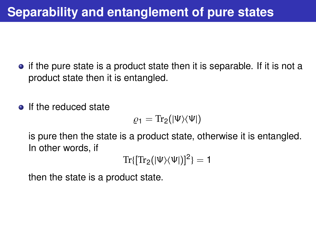- <span id="page-4-0"></span> $\bullet$  if the pure state is a product state then it is separable. If it is not a product state then it is entangled.
- If the reduced state

$$
\varrho_1=\text{Tr}_2(|\Psi\rangle\langle\Psi|)
$$

is pure then the state is a product state, otherwise it is entangled. In other words, if

$$
\text{Tr}\{[\text{Tr}_2(|\Psi\rangle\langle\Psi|)]^2\}=1
$$

then the state is a product state.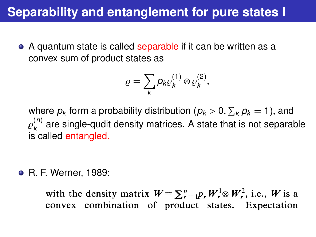# <span id="page-5-0"></span>**Separability and entanglement for pure states I**

• A quantum state is called separable if it can be written as a convex sum of product states as

$$
\varrho=\sum_{k}p_{k}\varrho_{k}^{(1)}\otimes\varrho_{k}^{(2)},
$$

where  $p_k$  form a probability distribution  $(p_k > 0, \sum_k p_k = 1)$ , and  $p_k^{(n)}$  are single qualit density metrics. A state that is not senare F<sup>*k*</sup> called entangled. (*n*) *k* are single-qudit density matrices. A state that is not separable

R. F. Werner, 1989:

with the density matrix  $W = \sum_{r=1}^{n} p_r W_r^1 \otimes W_r^2$ , i.e., W is a convex combination of product states. Expectation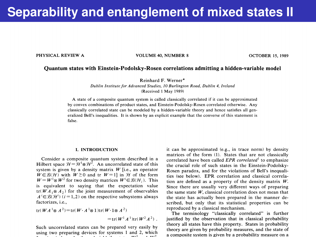### **Separability and entanglement of mixed states II**

PHYSICAL REVIEW A

**VOLUME 40, NUMBER 8** 

**OCTOBER 15, 1989** 

#### Ouantum states with Einstein-Podolsky-Rosen correlations admitting a hidden-variable model

Reinhard F. Werner\*

Dublin Institute for Advanced Studies, 10 Burlington Road, Dublin 4, Ireland (Received 1 May 1989)

A state of a composite quantum system is called classically correlated if it can be approximated by convex combinations of product states, and Einstein-Podolsky-Rosen correlated otherwise. Any classically correlated state can be modeled by a hidden-variable theory and hence satisfies all generalized Bell's inequalities. It is shown by an explicit example that the converse of this statement is false.

#### **I. INTRODUCTION**

Consider a composite quantum system described in a Hilbert space  $\mathcal{H} = \mathcal{H}^1 \otimes \mathcal{H}^2$ . An uncorrelated state of this system is given by a density matrix  $W$  [i.e., an operator  $W \in \mathcal{B}(\mathcal{H})$  with  $W \ge 0$  and tr  $W = 1$  in  $\mathcal{H}$  of the form  $W = W^{\dagger} \otimes W^2$  for two density matrices  $W^i \in \mathcal{B}(\mathcal{H}_i)$ . This is equivalent to saving that the expectation value  $tr(WA_1 \otimes A_2)$  for the joint measurement of observables  $A' \in \mathcal{B}(\mathcal{H}^i)$   $(i = 1, 2)$  on the respective subsystems always factorizes, i.e.,

 $tr(WA^{1} \otimes A^{2}) = tr(W \cdot A^{1} \otimes 1) tr(W \cdot 1 \otimes A^{2})$  $=$ tr( $W^1A^1$ )tr( $W^2A^2$ )

Such uncorrelated states can be prepared very easily by using two preparing devices for systems 1 and 2, which it can be approximated (e.g., in trace norm) by density matrices of the form (1). States that are not classically correlated have been called EPR correlated<sup>1</sup> to emphasize the crucial role of such states in the Einstein-Podolsky-Rosen paradox, and for the violations of Bell's inequalities (see below). EPR correlation and classical correlation are defined as a property of the density matrix  $W$ . Since there are usually very different ways of preparing the same state  $W$ , classical correlation does not mean that the state has actually been prepared in the manner described, but only that its statistical properties can be reproduced by a classical mechanism.

The terminology "classically correlated" is further justified by the observation that in classical probability theory all states have this property. States in probability theory are given by probability measures, and the state of a composite system is given by a probability measure on a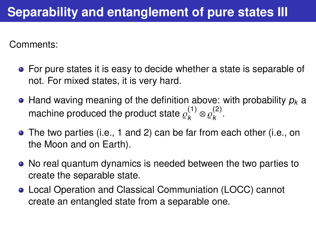Comments:

- For pure states it is easy to decide whether a state is separable of not. For mixed states, it is very hard.
- Hand waving meaning of the definition above: with probability *p<sup>k</sup>* a machine produced the product state  $\varrho_k^{(1)}$  $\frac{1}{k}$   $\otimes$   $\varrho_k^{\left( 2 \right)}$ *k* .
- The two parties (i.e., 1 and 2) can be far from each other (i.e., on the Moon and on Earth).
- No real quantum dynamics is needed between the two parties to create the separable state.
- Local Operation and Classical Communiation (LOCC) cannot create an entangled state from a separable one.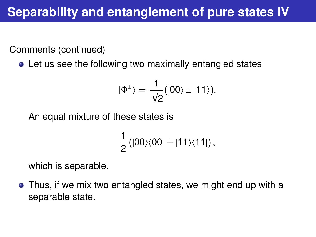Comments (continued)

• Let us see the following two maximally entangled states

$$
|\Phi^{\pm}\rangle=\frac{1}{\sqrt{2}}\big(|00\rangle\pm|11\rangle\big).
$$

An equal mixture of these states is

$$
\frac{1}{2} (|00\rangle\langle00|+|11\rangle\langle11|)\,,
$$

which is separable.

Thus, if we mix two entangled states, we might end up with a separable state.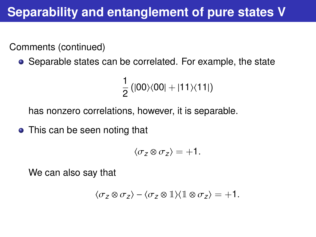# **Separability and entanglement of pure states V**

Comments (continued)

• Separable states can be correlated. For example, the state

$$
\frac{1}{2}(|00\rangle\langle00|+|11\rangle\langle11|)
$$

has nonzero correlations, however, it is separable.

• This can be seen noting that

$$
\langle \sigma_z \otimes \sigma_z \rangle = +1.
$$

We can also say that

$$
\langle \sigma_z \otimes \sigma_z \rangle - \langle \sigma_z \otimes \mathbb{1} \rangle \langle \mathbb{1} \otimes \sigma_z \rangle = +1.
$$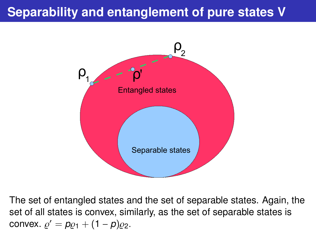# **Separability and entanglement of pure states V**



The set of entangled states and the set of separable states. Again, the set of all states is convex, similarly, as the set of separable states is convex.  $\varrho' = p\varrho_1 + (1-p)\varrho_2$ .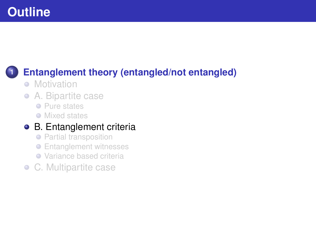# <span id="page-11-0"></span>**Outline**

## **1 [Entanglement theory \(entangled/not entangled\)](#page-1-0)**

- [Motivation](#page-1-0)
- [A. Bipartite case](#page-3-0)  $\bullet$ 
	- **•** [Pure states](#page-4-0)
	- **O** [Mixed states](#page-5-0)

### [B. Entanglement criteria](#page-11-0)

- **[Partial transposition](#page-13-0)**
- **•** [Entanglement witnesses](#page-18-0)
- [Variance based criteria](#page-27-0)
- [C. Multipartite case](#page-32-0)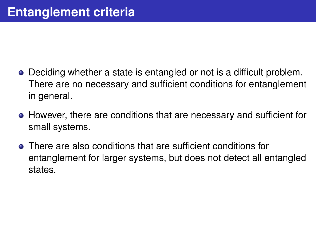- Deciding whether a state is entangled or not is a difficult problem. There are no necessary and sufficient conditions for entanglement in general.
- However, there are conditions that are necessary and sufficient for small systems.
- There are also conditions that are sufficient conditions for entanglement for larger systems, but does not detect all entangled states.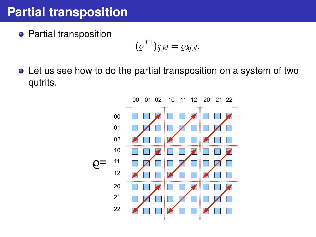## <span id="page-13-0"></span>**Partial transposition**

**•** Partial transposition

$$
(\varrho^{T1})_{ij,kl}=\varrho_{kj,il}.
$$

Let us see how to do the partial transposition on a system of two qutrits.

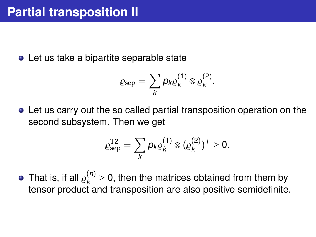• Let us take a bipartite separable state

$$
\varrho_{\rm sep}=\sum_{k}p_{k}\varrho_{k}^{(1)}\otimes\varrho_{k}^{(2)}.
$$

Let us carry out the so called partial transposition operation on the second subsystem. Then we get

$$
\varrho_{\rm sep}^{\rm T2} = \sum_{k} p_k \varrho_k^{(1)} \otimes (\varrho_k^{(2)})^{\rm T} \geq 0.
$$

That is, if all  $\varrho_k^{(n)}$ <br>tensor product a <sup>(</sup>′′ ≥ 0, then the matrices obtained from them by<br>t and transposition are also positive semidefinite tensor product and transposition are also positive semidefinite.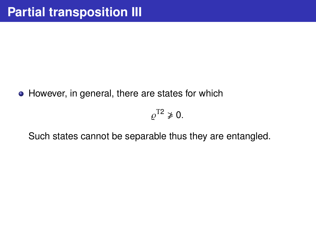• However, in general, there are states for which

 $\overline{a}$  $\rho^{T2} \not\geq 0$ .

Such states cannot be separable thus they are entangled.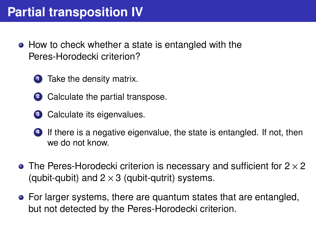## **Partial transposition IV**

- How to check whether a state is entangled with the Peres-Horodecki criterion?
	- **<sup>1</sup>** Take the density matrix.
	- **2** Calculate the partial transpose.
	- **3** Calculate its eigenvalues.
	- **<sup>4</sup>** If there is a negative eigenvalue, the state is entangled. If not, then we do not know.
- The Peres-Horodecki criterion is necessary and sufficient for  $2 \times 2$ (qubit-qubit) and  $2 \times 3$  (qubit-qutrit) systems.
- For larger systems, there are quantum states that are entangled, but not detected by the Peres-Horodecki criterion.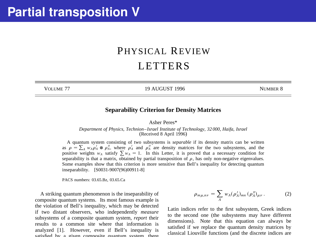### PHYSICAL REVIEW LETTERS

VOLUME 77 19 AUGUST 1996 NUMBER 8

#### **Separability Criterion for Density Matrices**

Asher Peres\*

*Department of Physics, Technion– Israel Institute of Technology, 32 000, Haifa, Israel* (Received 8 April 1996)

A quantum system consisting of two subsystems is *separable* if its density matrix can be written as  $\rho = \sum_{A} w_A \rho_A^A \otimes \rho_A^B$ , where  $\rho_A^A$  and  $\rho_A^B$  are density matrices for the two subsystems, and the positive weights  $w_A$  satisfy  $\sum w_A = 1$ . In this Letter, it is proved that a necessary condition for separability is that a matrix, obtained by partial transposition of  $\rho$ , has only non-negative eigenvalues. Some examples show that this criterion is more sensitive than Bell's inequality for detecting quantum inseparability. [S0031-9007(96)00911-8]

PACS numbers: 03.65.Bz, 03.65.Ca

A striking quantum phenomenon is the inseparability of composite quantum systems. Its most famous example is the violation of Bell's inequality, which may be detected if two distant observers, who independently *measure* subsystems of a composite quantum system, *report* their results to a common site where that information is analyzed [1]. However, even if Bell's inequality is esticfied by a given composite quantum system, there

$$
\rho_{m\mu,n\nu} = \sum_{A} w_A (\rho'_A)_{mn} (\rho''_A)_{\mu\nu} . \tag{2}
$$

Latin indices refer to the first subsystem, Greek indices to the second one (the subsystems may have different dimensions). Note that this equation can always be satisfied if we replace the quantum density matrices by classical Liouville functions (and the discrete indices are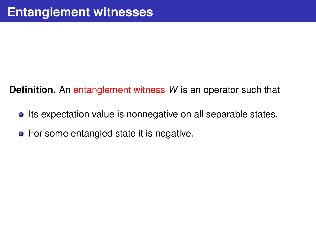<span id="page-18-0"></span>**Definition.** An entanglement witness *W* is an operator such that

- Its expectation value is nonnegative on all separable states.
- **•** For some entangled state it is negative.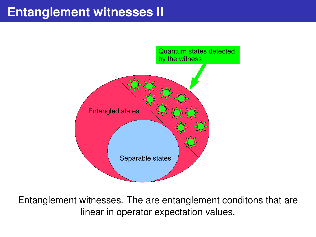## **Entanglement witnesses II**



Entanglement witnesses. The are entanglement conditons that are linear in operator expectation values.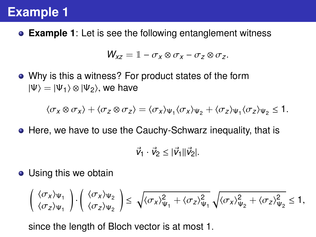# **Example 1**

**Example 1**: Let is see the following entanglement witness

$$
W_{xz} = \mathbb{1} - \sigma_x \otimes \sigma_x - \sigma_z \otimes \sigma_z.
$$

Why is this a witness? For product states of the form  $|\Psi\rangle = |\Psi_1\rangle \otimes |\Psi_2\rangle$ , we have

$$
\langle \sigma_X \otimes \sigma_X \rangle + \langle \sigma_Z \otimes \sigma_Z \rangle = \langle \sigma_X \rangle_{\Psi_1} \langle \sigma_X \rangle_{\Psi_2} + \langle \sigma_Z \rangle_{\Psi_1} \langle \sigma_Z \rangle_{\Psi_2} \leq 1.
$$

• Here, we have to use the Cauchy-Schwarz inequality, that is

$$
\vec{v}_1 \cdot \vec{v}_2 \leq |\vec{v}_1| |\vec{v}_2|.
$$

• Using this we obtain

$$
\begin{pmatrix} \langle \sigma_x \rangle_{\Psi_1} \\ \langle \sigma_z \rangle_{\Psi_1} \end{pmatrix} \cdot \begin{pmatrix} \langle \sigma_x \rangle_{\Psi_2} \\ \langle \sigma_z \rangle_{\Psi_2} \end{pmatrix} \leq \sqrt{\langle \sigma_x \rangle_{\Psi_1}^2 + \langle \sigma_z \rangle_{\Psi_1}^2} \sqrt{\langle \sigma_x \rangle_{\Psi_2}^2 + \langle \sigma_z \rangle_{\Psi_2}^2} \leq 1,
$$

since the length of Bloch vector is at most 1.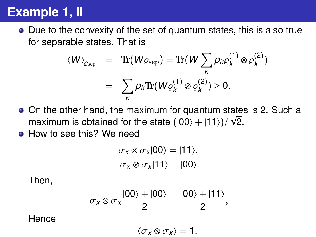# **Example 1, II**

Due to the convexity of the set of quantum states, this is also true for separable states. That is

$$
\langle W \rangle_{\mathcal{Q}_{\text{sep}}} = \text{Tr}(W_{\mathcal{Q}_{\text{sep}}}) = \text{Tr}(W \sum_{k} p_k \varrho_k^{(1)} \otimes \varrho_k^{(2)})
$$

$$
= \sum_{k} p_k \text{Tr}(W \varrho_k^{(1)} \otimes \varrho_k^{(2)}) \ge 0.
$$

- On the other hand, the maximum for quantum states is 2. Such a √ maximum is obtained for the state  $(|00\rangle + |11\rangle)/\sqrt{2}$ .<br>How to see this? We need
- How to see this? We need

$$
\sigma_x \otimes \sigma_x |00\rangle = |11\rangle,
$$
  

$$
\sigma_x \otimes \sigma_x |11\rangle = |00\rangle.
$$

Then,

$$
\sigma_x \otimes \sigma_x \frac{|00\rangle + |00\rangle}{2} = \frac{|00\rangle + |11\rangle}{2},
$$

Hence

 $\langle \sigma_X \otimes \sigma_X \rangle = 1.$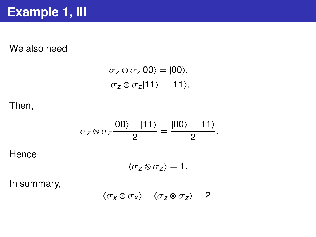### We also need

$$
\sigma_z \otimes \sigma_z |00\rangle = |00\rangle,
$$
  
\n
$$
\sigma_z \otimes \sigma_z |11\rangle = |11\rangle.
$$

### Then,

$$
\sigma_z \otimes \sigma_z \frac{|00\rangle + |11\rangle}{2} = \frac{|00\rangle + |11\rangle}{2}
$$

**Hence** 

$$
\langle \sigma_z \otimes \sigma_z \rangle = 1.
$$

In summary,

$$
\langle \sigma_X \otimes \sigma_X \rangle + \langle \sigma_Z \otimes \sigma_Z \rangle = 2.
$$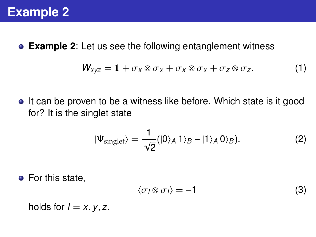

**Example 2**: Let us see the following entanglement witness

$$
W_{xyz} = 1 + \sigma_x \otimes \sigma_x + \sigma_x \otimes \sigma_x + \sigma_z \otimes \sigma_z. \tag{1}
$$

• It can be proven to be a witness like before. Which state is it good for? It is the singlet state

$$
|\Psi_{\text{singlet}}\rangle = \frac{1}{\sqrt{2}} (|0\rangle_A |1\rangle_B - |1\rangle_A |0\rangle_B). \tag{2}
$$

• For this state,

$$
\langle \sigma_l \otimes \sigma_l \rangle = -1 \tag{3}
$$

holds for  $l = x, y, z$ .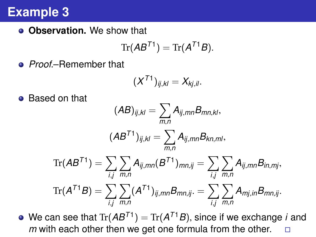## **Example 3**

**Observation.** We show that

$$
\mathrm{Tr}(AB^{T1})=\mathrm{Tr}(A^{T1}B).
$$

*Proof.*–Remember that

$$
(X^{T1})_{ij,kl}=X_{kj,il}.
$$

**•** Based on that

$$
(AB)_{ij,kl} = \sum_{m,n} A_{ij,mn} B_{mn,kl},
$$

$$
(AB^{T1})_{ij,kl} = \sum_{m,n} A_{ij,mn} B_{kn,ml},
$$

$$
\text{Tr}(AB^{T1}) = \sum_{i,j} \sum_{m,n} A_{ij,mn} (B^{T1})_{mn,ij} = \sum_{i,j} \sum_{m,n} A_{ij,mn} B_{in,mj},
$$

$$
\text{Tr}(A^{T1}B) = \sum_{i,j} \sum_{m,n} (A^{T1})_{ij,mn} B_{mn,ij} = \sum_{i,j} \sum_{m,n} A_{mj,in} B_{mn,ij}.
$$

We can see that  $\text{Tr}(AB^{T1}) = \text{Tr}(A^{T1}B)$ , since if we exchange *i* and m with each other then we get one formula from the other *m* with each other then we get one formula from the other. □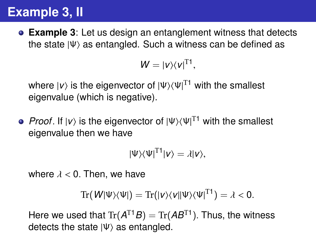# **Example 3, II**

**Example 3**: Let us design an entanglement witness that detects the state  $|\Psi\rangle$  as entangled. Such a witness can be defined as

$$
W=|v\rangle\langle v|^{T1},
$$

where  $\ket{\nu}$  is the eigenvector of  $\ket{\Psi}\!\bra{\Psi}^{\text{T1}}$  with the smallest eigenvalue (which is negative).

*Proof*. If |*v*) is the eigenvector of |Ψ) $\langle \Psi |^{T1}$  with the smallest<br>eigenvalue then we have eigenvalue then we have

$$
|\Psi\rangle\langle\Psi|^{T1}|\nu\rangle=\lambda|\nu\rangle,
$$

where  $\lambda < 0$ . Then, we have

$$
\mathrm{Tr}(\mathbf{W}|\Psi\rangle\langle\Psi|)=\mathrm{Tr}(|\mathbf{v}\rangle\langle\mathbf{v}||\Psi\rangle\langle\Psi|^{T1})=\lambda<0.
$$

Here we used that  $\text{Tr}(A^{\text{T1}}B) = \text{Tr}(AB^{\text{T1}})$ . Thus, the witness<br>detects the state lik\ as entangled detects the state  $|\Psi\rangle$  as entangled.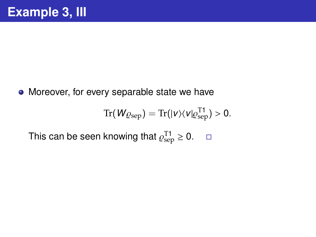• Moreover, for every separable state we have

$$
\mathrm{Tr}(W_{Q\mathrm{sep}})=\mathrm{Tr}(|v\rangle\langle v|\varrho_{\mathrm{sep}}^{\mathrm{T1}})>0.
$$

This can be seen knowing that  $\varrho_{\mathrm{sep}}^{\mathrm{T1}} \geq 0$ .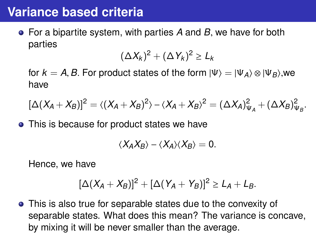## <span id="page-27-0"></span>**Variance based criteria**

For a bipartite system, with parties *<sup>A</sup>* and *<sup>B</sup>*, we have for both parties

$$
(\Delta X_k)^2 + (\Delta Y_k)^2 \geq L_k
$$

for  $k = A$ , B. For product states of the form  $|\Psi\rangle = |\Psi_A\rangle \otimes |\Psi_B\rangle$ , we have

$$
[\Delta(X_A+X_B)]^2=\langle (X_A+X_B)^2\rangle-\langle X_A+X_B\rangle^2=(\Delta X_A)^2_{\Psi_A}+(\Delta X_B)^2_{\Psi_B}.
$$

• This is because for product states we have

$$
\langle X_A X_B \rangle - \langle X_A \rangle \langle X_B \rangle = 0.
$$

Hence, we have

$$
[\Delta(X_A + X_B)]^2 + [\Delta(Y_A + Y_B)]^2 \ge L_A + L_B.
$$

This is also true for separable states due to the convexity of separable states. What does this mean? The variance is concave, by mixing it will be never smaller than the average.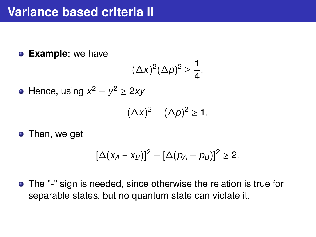**Example**: we have

$$
(\Delta x)^2(\Delta p)^2\geq \frac{1}{4}.
$$

Hence, using  $x^2 + y^2 \ge 2xy$ 

$$
(\Delta x)^2 + (\Delta p)^2 \geq 1.
$$

• Then, we get

$$
[\Delta(x_A - x_B)]^2 + [\Delta(p_A + p_B)]^2 \geq 2.
$$

The "-" sign is needed, since otherwise the relation is true for separable states, but no quantum state can violate it.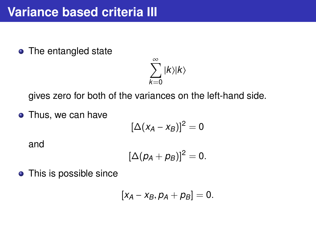• The entangled state

$$
\sum_{k=0}^{\infty}|k\rangle|k\rangle
$$

gives zero for both of the variances on the left-hand side.

• Thus, we can have

$$
[\Delta(x_A-x_B)]^2=0
$$

and

$$
[\Delta(p_A+p_B)]^2=0.
$$

• This is possible since

$$
[x_A-x_B, p_A+p_B]=0.
$$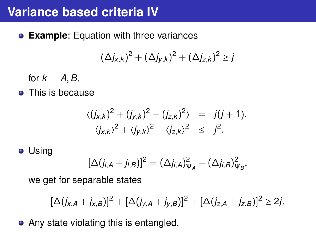## **Variance based criteria IV**

**Example**: Equation with three variances

$$
(\Delta j_{x,k})^2+(\Delta j_{y,k})^2+(\Delta j_{z,k})^2\geq j
$$

for  $k = A$ , *B*.

**•** This is because

$$
\langle (j_{x,k})^2 + (j_{y,k})^2 + (j_{z,k})^2 \rangle = j(j+1),
$$
  

$$
\langle j_{x,k} \rangle^2 + \langle j_{y,k} \rangle^2 + \langle j_{z,k} \rangle^2 \leq j^2.
$$

### **•** Using

$$
[\Delta(j_{l,A}+j_{l,B})]^2=(\Delta j_{l,A})^2_{\Psi_A}+(\Delta j_{l,B})^2_{\Psi_B},
$$

we get for separable states

$$
[\Delta(j_{x,A}+j_{x,B})]^2+[\Delta(j_{y,A}+j_{y,B})]^2+[\Delta(j_{z,A}+j_{z,B})]^2\geq 2j.
$$

• Any state violating this is entangled.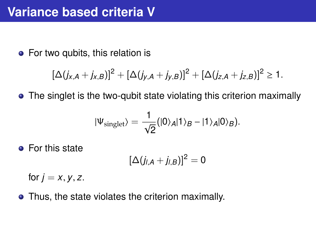• For two qubits, this relation is

$$
[\Delta(j_{x,A}+j_{x,B})]^2+[\Delta(j_{y,A}+j_{y,B})]^2+[\Delta(j_{z,A}+j_{z,B})]^2\geq 1.
$$

• The singlet is the two-qubit state violating this criterion maximally

$$
|\Psi_{\text{singlet}}\rangle = \frac{1}{\sqrt{2}}(|0\rangle_A|1\rangle_B - |1\rangle_A|0\rangle_B).
$$

**•** For this state

$$
[\Delta(j_{l,A}+j_{l,B})]^2=0
$$

for  $j = x, y, z$ .

• Thus, the state violates the criterion maximally.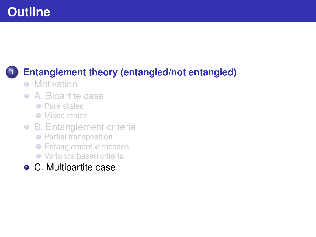# <span id="page-32-0"></span>**Outline**

## **1 [Entanglement theory \(entangled/not entangled\)](#page-1-0)**

- [Motivation](#page-1-0)
- $\bullet$ [A. Bipartite case](#page-3-0)
	- **•** [Pure states](#page-4-0)
	- **O** [Mixed states](#page-5-0)
- [B. Entanglement criteria](#page-11-0)
	- **•** [Partial transposition](#page-13-0)
	- **•** [Entanglement witnesses](#page-18-0)
	- [Variance based criteria](#page-27-0)
- [C. Multipartite case](#page-32-0)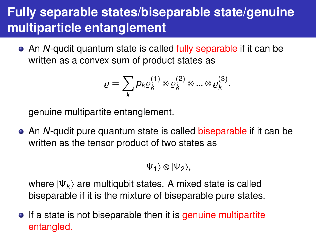# **Fully separable states/biseparable state/genuine multiparticle entanglement**

An *N*-qudit quantum state is called fully separable if it can be written as a convex sum of product states as

$$
\varrho = \sum_{k} p_{k} \varrho_{k}^{(1)} \otimes \varrho_{k}^{(2)} \otimes ... \otimes \varrho_{k}^{(3)}.
$$

genuine multipartite entanglement.

An *N*-qudit pure quantum state is called biseparable if it can be written as the tensor product of two states as

 $|\Psi_1\rangle \otimes |\Psi_2\rangle$ ,

where  $|\Psi_k\rangle$  are multiqubit states. A mixed state is called biseparable if it is the mixture of biseparable pure states.

• If a state is not biseparable then it is genuine multipartite entangled.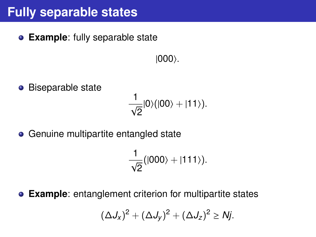## **Fully separable states**

**Example**: fully separable state

 $|000\rangle$ .

**•** Biseparable state

$$
\frac{1}{\sqrt{2}}|0\rangle(|00\rangle+|11\rangle).
$$

• Genuine multipartite entangled state

$$
\frac{1}{\sqrt{2}}(|000\rangle+|111\rangle).
$$

**Example**: entanglement criterion for multipartite states

$$
(\Delta J_x)^2 + (\Delta J_y)^2 + (\Delta J_z)^2 \geq Nj.
$$